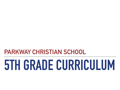**PARKWAY CHRISTIAN SCHOOL**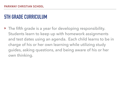‣ The fifth grade is a year for developing responsibility. Students learn to keep up with homework assignments and test dates using an agenda. Each child learns to be in charge of his or her own learning while utilizing study guides, asking questions, and being aware of his or her own thinking.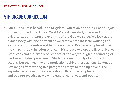▶ Our curriculum is based upon Kingdom Education principles. Each subject is directly linked to a Biblical World View. As we study space and our universe students learn the enormity of the God we serve. We look at the human body with wonderment as we discover the intricate workings of each system. Students are able to relate this to Biblical examples of how the church should function as one. In History we explore the lives of Native Americans and the history of America all the way through the founding of the United States government. Students learn not only of important actions, but the meaning and motivation behind these actions. Language Arts ranges from writing five paragraph essays to reading novels. The importance of communication is shown through examples of good writing and put into practice as we write essays, narratives, and poetry.